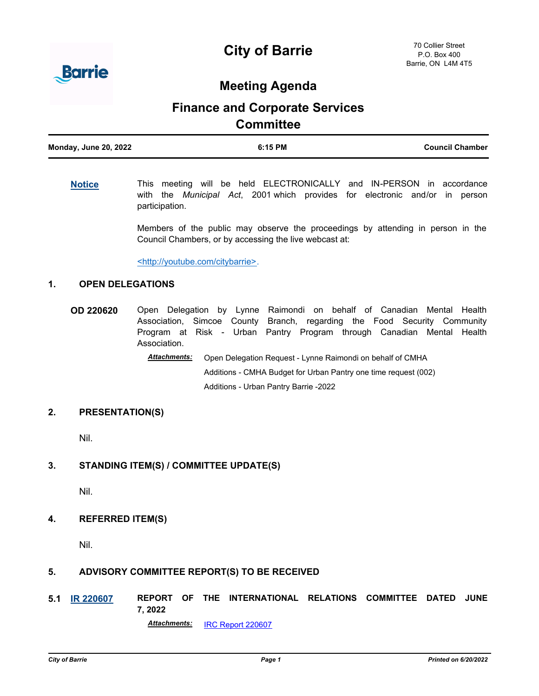



## **Meeting Agenda**

# **Finance and Corporate Services Committee**

| <b>Monday, June 20, 2022</b> | 6:15 PM | <b>Council Chamber</b> |
|------------------------------|---------|------------------------|
|                              |         |                        |

#### **[Notice](http://barrie.ca.legistar.com/gateway.aspx?m=l&id=/matter.aspx?key=46586)** This meeting will be held ELECTRONICALLY and IN-PERSON in accordance with the *Municipal Act*, 2001 which provides for electronic and/or in person participation.

Members of the public may observe the proceedings by attending in person in the Council Chambers, or by accessing the live webcast at:

<http://youtube.com/citybarrie>.

#### **1. OPEN DELEGATIONS**

**OD 220620** Open Delegation by Lynne Raimondi on behalf of Canadian Mental Health Association, Simcoe County Branch, regarding the Food Security Community Program at Risk - Urban Pantry Program through Canadian Mental Health Association.

Open Delegation Request - Lynne Raimondi on behalf of CMHA Additions - CMHA Budget for Urban Pantry one time request (002) Additions - Urban Pantry Barrie -2022 *Attachments:*

#### **2. PRESENTATION(S)**

Nil.

#### **3. STANDING ITEM(S) / COMMITTEE UPDATE(S)**

Nil.

#### **4. REFERRED ITEM(S)**

Nil.

#### **5. ADVISORY COMMITTEE REPORT(S) TO BE RECEIVED**

**5.1 [IR 220607](http://barrie.ca.legistar.com/gateway.aspx?m=l&id=/matter.aspx?key=50913) REPORT OF THE INTERNATIONAL RELATIONS COMMITTEE DATED JUNE 7, 2022**

*Attachments:* [IRC Report 220607](http://barrie.ca.legistar.com/gateway.aspx?M=F&ID=79943f09-d974-4845-ac3e-03bcbfb29140.pdf)